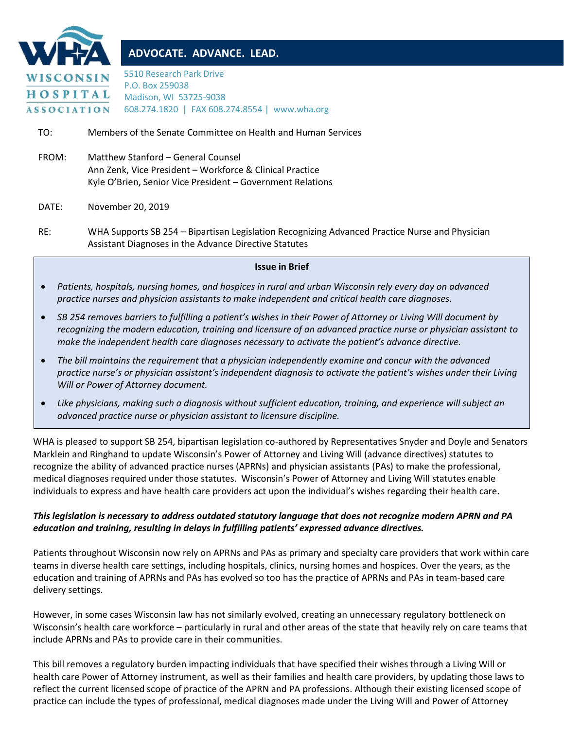

# **ADVOCATE. ADVANCE. LEAD.**

5510 Research Park Drive P.O. Box 259038 Madison, WI 53725-9038 608.274.1820 | FAX 608.274.8554 | www.wha.org

TO: Members of the Senate Committee on Health and Human Services

FROM: Matthew Stanford – General Counsel Ann Zenk, Vice President – Workforce & Clinical Practice Kyle O'Brien, Senior Vice President – Government Relations

DATE: November 20, 2019

RE: WHA Supports SB 254 – Bipartisan Legislation Recognizing Advanced Practice Nurse and Physician Assistant Diagnoses in the Advance Directive Statutes

### **Issue in Brief**

- *Patients, hospitals, nursing homes, and hospices in rural and urban Wisconsin rely every day on advanced practice nurses and physician assistants to make independent and critical health care diagnoses.*
- *SB 254 removes barriers to fulfilling a patient's wishes in their Power of Attorney or Living Will document by recognizing the modern education, training and licensure of an advanced practice nurse or physician assistant to make the independent health care diagnoses necessary to activate the patient's advance directive.*
- *The bill maintains the requirement that a physician independently examine and concur with the advanced practice nurse's or physician assistant's independent diagnosis to activate the patient's wishes under their Living Will or Power of Attorney document.*
- *Like physicians, making such a diagnosis without sufficient education, training, and experience will subject an advanced practice nurse or physician assistant to licensure discipline.*

WHA is pleased to support SB 254, bipartisan legislation co-authored by Representatives Snyder and Doyle and Senators Marklein and Ringhand to update Wisconsin's Power of Attorney and Living Will (advance directives) statutes to recognize the ability of advanced practice nurses (APRNs) and physician assistants (PAs) to make the professional, medical diagnoses required under those statutes. Wisconsin's Power of Attorney and Living Will statutes enable individuals to express and have health care providers act upon the individual's wishes regarding their health care.

## *This legislation is necessary to address outdated statutory language that does not recognize modern APRN and PA education and training, resulting in delays in fulfilling patients' expressed advance directives.*

Patients throughout Wisconsin now rely on APRNs and PAs as primary and specialty care providers that work within care teams in diverse health care settings, including hospitals, clinics, nursing homes and hospices. Over the years, as the education and training of APRNs and PAs has evolved so too has the practice of APRNs and PAs in team-based care delivery settings.

However, in some cases Wisconsin law has not similarly evolved, creating an unnecessary regulatory bottleneck on Wisconsin's health care workforce – particularly in rural and other areas of the state that heavily rely on care teams that include APRNs and PAs to provide care in their communities.

This bill removes a regulatory burden impacting individuals that have specified their wishes through a Living Will or health care Power of Attorney instrument, as well as their families and health care providers, by updating those laws to reflect the current licensed scope of practice of the APRN and PA professions. Although their existing licensed scope of practice can include the types of professional, medical diagnoses made under the Living Will and Power of Attorney